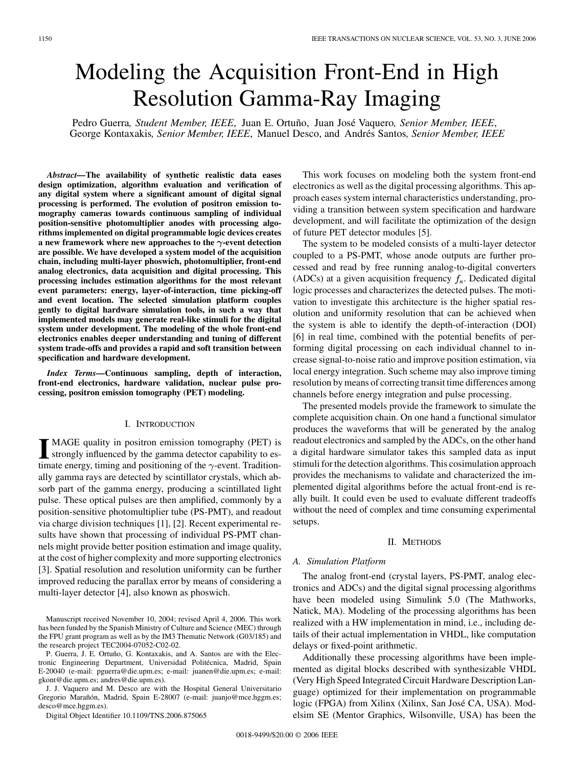# Modeling the Acquisition Front-End in High Resolution Gamma-Ray Imaging

Pedro Guerra*, Student Member, IEEE*, Juan E. Ortuño, Juan José Vaquero*, Senior Member, IEEE*, George Kontaxakis*, Senior Member, IEEE*, Manuel Desco, and Andrés Santos*, Senior Member, IEEE*

*Abstract—***The availability of synthetic realistic data eases design optimization, algorithm evaluation and verification of any digital system where a significant amount of digital signal processing is performed. The evolution of positron emission tomography cameras towards continuous sampling of individual position-sensitive photomultiplier anodes with processing algorithms implemented on digital programmable logic devices creates a** new framework where new approaches to the  $\gamma$ -event detection **are possible. We have developed a system model of the acquisition chain, including multi-layer phoswich, photomultiplier, front-end analog electronics, data acquisition and digital processing. This processing includes estimation algorithms for the most relevant event parameters: energy, layer-of-interaction, time picking-off and event location. The selected simulation platform couples gently to digital hardware simulation tools, in such a way that implemented models may generate real-like stimuli for the digital system under development. The modeling of the whole front-end electronics enables deeper understanding and tuning of different system trade-offs and provides a rapid and soft transition between specification and hardware development.**

*Index Terms—***Continuous sampling, depth of interaction, front-end electronics, hardware validation, nuclear pulse processing, positron emission tomography (PET) modeling.**

# I. INTRODUCTION

**I** MAGE quality in positron emission tomography (PET) is strongly influenced by the gamma detector capability to estimate energy, timing and positioning of the  $\gamma$ -event. Traditionally gamma rays are detected by scintillator crystals, which absorb part of the gamma energy, producing a scintillated light pulse. These optical pulses are then amplified, commonly by a position-sensitive photomultiplier tube (PS-PMT), and readout via charge division techniques [\[1\], \[2\]](#page-5-0). Recent experimental results have shown that processing of individual PS-PMT channels might provide better position estimation and image quality, at the cost of higher complexity and more supporting electronics [\[3\]](#page-5-0). Spatial resolution and resolution uniformity can be further improved reducing the parallax error by means of considering a multi-layer detector [\[4\],](#page-5-0) also known as phoswich.

Manuscript received November 10, 2004; revised April 4, 2006. This work has been funded by the Spanish Ministry of Culture and Science (MEC) through the FPU grant program as well as by the IM3 Thematic Network (G03/185) and the research project TEC2004-07052-C02-02.

P. Guerra, J. E. Ortuño, G. Kontaxakis, and A. Santos are with the Electronic Engineering Department, Universidad Politécnica, Madrid, Spain E-20040 (e-mail: pguerra@die.upm.es; e-mail: juanen@die.upm.es; e-mail: gkont@die.upm.es; andres@die.upm.es).

J. J. Vaquero and M. Desco are with the Hospital General Universitario Gregorio Marañón, Madrid, Spain E-28007 (e-mail: juanjo@mce.hggm.es; desco@mce.hggm.es).

Digital Object Identifier 10.1109/TNS.2006.875065

This work focuses on modeling both the system front-end electronics as well as the digital processing algorithms. This approach eases system internal characteristics understanding, providing a transition between system specification and hardware development, and will facilitate the optimization of the design of future PET detector modules [\[5\].](#page-5-0)

The system to be modeled consists of a multi-layer detector coupled to a PS-PMT, whose anode outputs are further processed and read by free running analog-to-digital converters (ADCs) at a given acquisition frequency  $f_s$ . Dedicated digital logic processes and characterizes the detected pulses. The motivation to investigate this architecture is the higher spatial resolution and uniformity resolution that can be achieved when the system is able to identify the depth-of-interaction (DOI) [\[6\]](#page-5-0) in real time, combined with the potential benefits of performing digital processing on each individual channel to increase signal-to-noise ratio and improve position estimation, via local energy integration. Such scheme may also improve timing resolution by means of correcting transit time differences among channels before energy integration and pulse processing.

The presented models provide the framework to simulate the complete acquisition chain. On one hand a functional simulator produces the waveforms that will be generated by the analog readout electronics and sampled by the ADCs, on the other hand a digital hardware simulator takes this sampled data as input stimuli for the detection algorithms. This cosimulation approach provides the mechanisms to validate and characterized the implemented digital algorithms before the actual front-end is really built. It could even be used to evaluate different tradeoffs without the need of complex and time consuming experimental setups.

## II. METHODS

#### *A. Simulation Platform*

The analog front-end (crystal layers, PS-PMT, analog electronics and ADCs) and the digital signal processing algorithms have been modeled using Simulink 5.0 (The Mathworks, Natick, MA). Modeling of the processing algorithms has been realized with a HW implementation in mind, i.e., including details of their actual implementation in VHDL, like computation delays or fixed-point arithmetic.

Additionally these processing algorithms have been implemented as digital blocks described with synthesizable VHDL (Very High Speed Integrated Circuit Hardware Description Language) optimized for their implementation on programmable logic (FPGA) from Xilinx (Xilinx, San José CA, USA). Modelsim SE (Mentor Graphics, Wilsonville, USA) has been the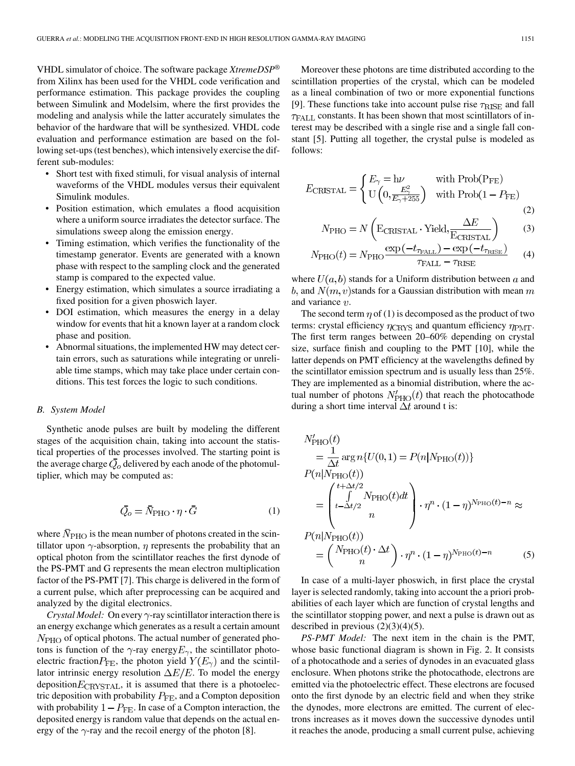VHDL simulator of choice. The software package *XtremeDSP*® from Xilinx has been used for the VHDL code verification and performance estimation. This package provides the coupling between Simulink and Modelsim, where the first provides the modeling and analysis while the latter accurately simulates the behavior of the hardware that will be synthesized. VHDL code evaluation and performance estimation are based on the following set-ups (test benches), which intensively exercise the different sub-modules:

- Short test with fixed stimuli, for visual analysis of internal waveforms of the VHDL modules versus their equivalent Simulink modules.
- Position estimation, which emulates a flood acquisition where a uniform source irradiates the detector surface. The simulations sweep along the emission energy.
- Timing estimation, which verifies the functionality of the timestamp generator. Events are generated with a known phase with respect to the sampling clock and the generated stamp is compared to the expected value.
- Energy estimation, which simulates a source irradiating a fixed position for a given phoswich layer.
- DOI estimation, which measures the energy in a delay window for events that hit a known layer at a random clock phase and position.
- Abnormal situations, the implemented HW may detect certain errors, such as saturations while integrating or unreliable time stamps, which may take place under certain conditions. This test forces the logic to such conditions.

## *B. System Model*

Synthetic anode pulses are built by modeling the different stages of the acquisition chain, taking into account the statistical properties of the processes involved. The starting point is the average charge  $\overline{Q}_o$  delivered by each anode of the photomultiplier, which may be computed as:

$$
\bar{Q}_o = \bar{N}_{\text{PHO}} \cdot \eta \cdot \bar{G} \tag{1}
$$

where  $N_{\rm PHO}$  is the mean number of photons created in the scintillator upon  $\gamma$ -absorption,  $\eta$  represents the probability that an optical photon from the scintillator reaches the first dynode of the PS-PMT and G represents the mean electron multiplication factor of the PS-PMT [\[7\]](#page-5-0). This charge is delivered in the form of a current pulse, which after preprocessing can be acquired and analyzed by the digital electronics.

*Crystal Model:* On every  $\gamma$ -ray scintillator interaction there is an energy exchange which generates as a result a certain amount  $N<sub>PHO</sub>$  of optical photons. The actual number of generated photons is function of the  $\gamma$ -ray energy  $E_{\gamma}$ , the scintillator photoelectric fraction  $P_{\text{FE}}$ , the photon yield  $Y(E_{\gamma})$  and the scintillator intrinsic energy resolution  $\Delta E/E$ . To model the energy deposition  $E_{\text{CR} \text{YSTAL}}$ , it is assumed that there is a photoelectric deposition with probability  $P_{\text{FE}}$ , and a Compton deposition with probability  $1 - P_{\text{FE}}$ . In case of a Compton interaction, the deposited energy is random value that depends on the actual energy of the  $\gamma$ -ray and the recoil energy of the photon [\[8\].](#page-5-0)

Moreover these photons are time distributed according to the scintillation properties of the crystal, which can be modeled as a lineal combination of two or more exponential functions [\[9\].](#page-5-0) These functions take into account pulse rise  $\tau_{\text{RISE}}$  and fall  $\tau_{\rm FALL}$  constants. It has been shown that most scintillators of interest may be described with a single rise and a single fall constant [\[5\]](#page-5-0). Putting all together, the crystal pulse is modeled as follows:

$$
E_{\text{CRISTAL}} = \begin{cases} E_{\gamma} = h\nu & \text{with Prob}(P_{\text{FE}})\\ U\left(0, \frac{E_{\gamma}^{2}}{E_{\gamma} + 255}\right) & \text{with Prob}(1 - P_{\text{FE}}) \end{cases}
$$
 (2)

$$
N_{\rm PHO} = N \left( \mathrm{E_{CRISTAL}} \cdot \mathrm{Yield}, \frac{\Delta E}{\mathrm{E_{CRISTAL}}} \right) \tag{3}
$$

$$
N_{\rm PHO}(t) = N_{\rm PHO} \frac{\exp(-t_{\tau_{\rm FALL}}) - \exp(-t_{\tau_{\rm RISE}})}{\tau_{\rm FALL} - \tau_{\rm RISE}} \tag{4}
$$

where  $U(a, b)$  stands for a Uniform distribution between a and b, and  $N(m, v)$  stands for a Gaussian distribution with mean m and variance  $v$ .

The second term  $\eta$  of (1) is decomposed as the product of two terms: crystal efficiency  $\eta_{\text{CRYS}}$  and quantum efficiency  $\eta_{\text{PMT}}$ . The first term ranges between 20–60% depending on crystal size, surface finish and coupling to the PMT [\[10\],](#page-5-0) while the latter depends on PMT efficiency at the wavelengths defined by the scintillator emission spectrum and is usually less than 25%. They are implemented as a binomial distribution, where the actual number of photons  $N'_{\text{PHO}}(t)$  that reach the photocathode during a short time interval  $\Delta t$  around t is:

$$
N'_{\text{PHO}}(t)
$$
  
=  $\frac{1}{\Delta t} \arg n \{ U(0, 1) = P(n|N_{\text{PHO}}(t)) \}$   

$$
P(n|N_{\text{PHO}}(t))
$$
  
=  $\begin{pmatrix} t + \Delta t/2 \\ t - \Delta t/2 \\ n \end{pmatrix} \cdot \eta^n \cdot (1 - \eta)^{N_{\text{PHO}}(t) - n} \approx$   

$$
P(n|N_{\text{PHO}}(t))
$$
  
=  $\begin{pmatrix} N_{\text{PHO}}(t) \cdot \Delta t \\ n \end{pmatrix} \cdot \eta^n \cdot (1 - \eta)^{N_{\text{PHO}}(t) - n}$  (5)

In case of a multi-layer phoswich, in first place the crystal layer is selected randomly, taking into account the a priori probabilities of each layer which are function of crystal lengths and the scintillator stopping power, and next a pulse is drawn out as described in previous  $(2)(3)(4)(5)$ .

*PS-PMT Model:* The next item in the chain is the PMT, whose basic functional diagram is shown in [Fig. 2.](#page-2-0) It consists of a photocathode and a series of dynodes in an evacuated glass enclosure. When photons strike the photocathode, electrons are emitted via the photoelectric effect. These electrons are focused onto the first dynode by an electric field and when they strike the dynodes, more electrons are emitted. The current of electrons increases as it moves down the successive dynodes until it reaches the anode, producing a small current pulse, achieving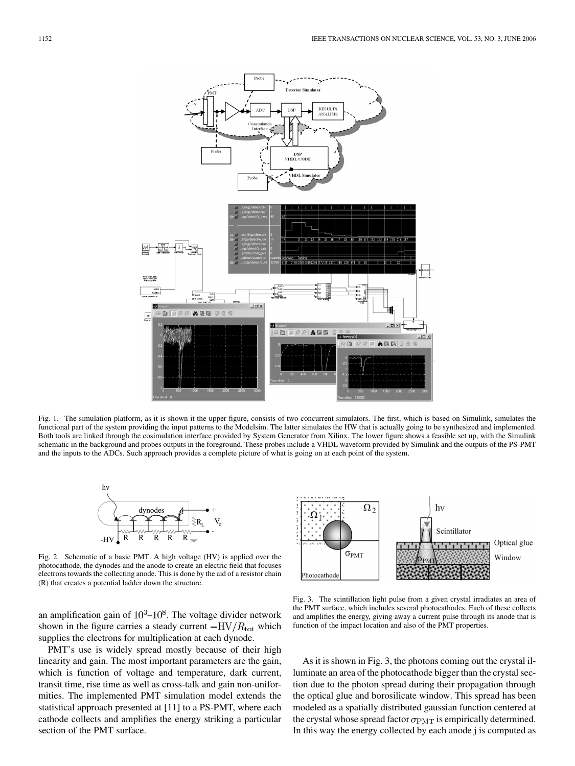<span id="page-2-0"></span>

Fig. 1. The simulation platform, as it is shown it the upper figure, consists of two concurrent simulators. The first, which is based on Simulink, simulates the functional part of the system providing the input patterns to the Modelsim. The latter simulates the HW that is actually going to be synthesized and implemented. Both tools are linked through the cosimulation interface provided by System Generator from Xilinx. The lower figure shows a feasible set up, with the Simulink schematic in the background and probes outputs in the foreground. These probes include a VHDL waveform provided by Simulink and the outputs of the PS-PMT and the inputs to the ADCs. Such approach provides a complete picture of what is going on at each point of the system.



Fig. 2. Schematic of a basic PMT. A high voltage (HV) is applied over the photocathode, the dynodes and the anode to create an electric field that focuses electrons towards the collecting anode. This is done by the aid of a resistor chain (R) that creates a potential ladder down the structure.

an amplification gain of  $10^3$ – $10^8$ . The voltage divider network shown in the figure carries a steady current  $-HV/R_{\text{tot}}$  which supplies the electrons for multiplication at each dynode.

PMT's use is widely spread mostly because of their high linearity and gain. The most important parameters are the gain, which is function of voltage and temperature, dark current, transit time, rise time as well as cross-talk and gain non-uniformities. The implemented PMT simulation model extends the statistical approach presented at [\[11\]](#page-5-0) to a PS-PMT, where each cathode collects and amplifies the energy striking a particular section of the PMT surface.



Fig. 3. The scintillation light pulse from a given crystal irradiates an area of the PMT surface, which includes several photocathodes. Each of these collects and amplifies the energy, giving away a current pulse through its anode that is function of the impact location and also of the PMT properties.

As it is shown in Fig. 3, the photons coming out the crystal illuminate an area of the photocathode bigger than the crystal section due to the photon spread during their propagation through the optical glue and borosilicate window. This spread has been modeled as a spatially distributed gaussian function centered at the crystal whose spread factor  $\sigma_{\text{PMT}}$  is empirically determined. In this way the energy collected by each anode j is computed as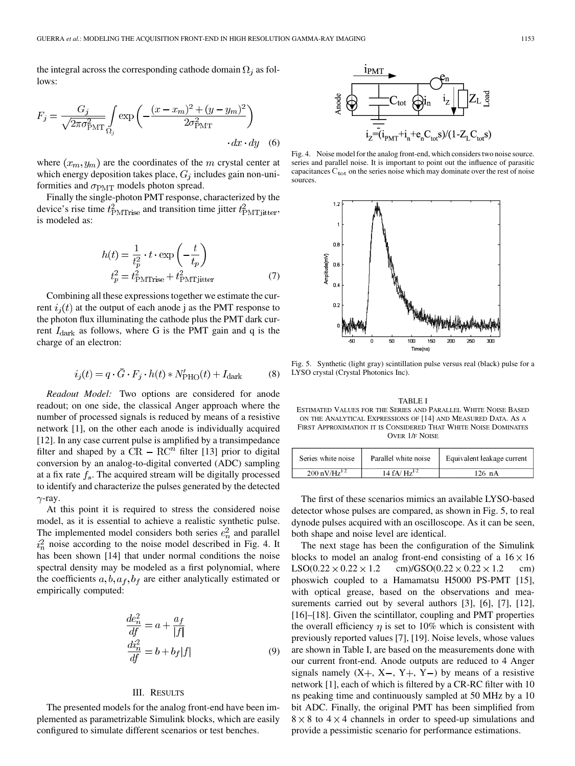<span id="page-3-0"></span>the integral across the corresponding cathode domain  $\Omega_i$  as follows:

$$
F_j = \frac{G_j}{\sqrt{2\pi\sigma_{\text{PMT}}^2}} \int_{\Omega_j} \exp\left(-\frac{(x - x_m)^2 + (y - y_m)^2}{2\sigma_{\text{PMT}}^2}\right) \cdot dx \cdot dy \quad (6)
$$

where  $(x_m, y_m)$  are the coordinates of the m crystal center at which energy deposition takes place,  $G_i$  includes gain non-uniformities and  $\sigma_{\rm PMT}$  models photon spread.

Finally the single-photon PMT response, characterized by the device's rise time  $t_{\text{PMTrise}}^2$  and transition time jitter  $t_{\text{PMTjitter}}^2$ , is modeled as:

$$
h(t) = \frac{1}{t_p^2} \cdot t \cdot \exp\left(-\frac{t}{t_p}\right)
$$
  

$$
t_p^2 = t_{\text{PMTise}}^2 + t_{\text{PMTjitter}}^2 \tag{7}
$$

Combining all these expressions together we estimate the current  $i_i(t)$  at the output of each anode j as the PMT response to the photon flux illuminating the cathode plus the PMT dark current  $I_{\text{dark}}$  as follows, where G is the PMT gain and q is the charge of an electron:

$$
i_j(t) = q \cdot \bar{G} \cdot F_j \cdot h(t) * N'_{\text{PHO}}(t) + I_{\text{dark}} \tag{8}
$$

*Readout Model:* Two options are considered for anode readout; on one side, the classical Anger approach where the number of processed signals is reduced by means of a resistive network [\[1\],](#page-5-0) on the other each anode is individually acquired [\[12\].](#page-5-0) In any case current pulse is amplified by a transimpedance filter and shaped by a  $CR - RC<sup>n</sup>$  filter [\[13\]](#page-5-0) prior to digital conversion by an analog-to-digital converted (ADC) sampling at a fix rate  $f_s$ . The acquired stream will be digitally processed to identify and characterize the pulses generated by the detected  $\gamma$ -ray.

At this point it is required to stress the considered noise model, as it is essential to achieve a realistic synthetic pulse. The implemented model considers both series  $e_n^2$  and parallel  $i_n^2$  noise according to the noise model described in Fig. 4. It has been shown [\[14\]](#page-5-0) that under normal conditions the noise spectral density may be modeled as a first polynomial, where the coefficients  $a, b, a_f, b_f$  are either analytically estimated or empirically computed:

$$
\frac{de_n^2}{df} = a + \frac{af}{|f|}
$$
  
\n
$$
\frac{di_n^2}{df} = b + b_f|f|
$$
 (9)

## III. RESULTS

The presented models for the analog front-end have been implemented as parametrizable Simulink blocks, which are easily configured to simulate different scenarios or test benches.



Fig. 4. Noise model for the analog front-end, which considers two noise source. series and parallel noise. It is important to point out the influence of parasitic capacitances  $C_{\rm tot}$  on the series noise which may dominate over the rest of noise sources.



Fig. 5. Synthetic (light gray) scintillation pulse versus real (black) pulse for a LYSO crystal (Crystal Photonics Inc).

TABLE I ESTIMATED VALUES FOR THE SERIES AND PARALLEL WHITE NOISE BASED ON THE ANALYTICAL EXPRESSIONS OF [\[14\]](#page-5-0) AND MEASURED DATA. AS A FIRST APPROXIMATION IT IS CONSIDERED THAT WHITE NOISE DOMINATES OVER 1/F NOISE

| Series white noise        | Parallel white noise | Equivalent leakage current |  |
|---------------------------|----------------------|----------------------------|--|
| $200 \text{ nV/Hz}^{1/2}$ | 14 fA/ $Hz^{1/2}$    | $126$ nA                   |  |

The first of these scenarios mimics an available LYSO-based detector whose pulses are compared, as shown in Fig. 5, to real dynode pulses acquired with an oscilloscope. As it can be seen, both shape and noise level are identical.

The next stage has been the configuration of the Simulink blocks to model an analog front-end consisting of a  $16 \times 16$  $LSO(0.22 \times 0.22 \times 1.2$  cm)/GSO(0.22 × 0.22 × 1.2 cm) phoswich coupled to a Hamamatsu H5000 PS-PMT [\[15\],](#page-5-0) with optical grease, based on the observations and mea-surements carried out by several authors [\[3\]](#page-5-0), [\[6\]](#page-5-0), [\[7\], \[12\],](#page-5-0) [\[16\]–\[18\]](#page-5-0). Given the scintillator, coupling and PMT properties the overall efficiency  $\eta$  is set to 10% which is consistent with previously reported values [\[7\], \[19\]](#page-5-0). Noise levels, whose values are shown in Table I, are based on the measurements done with our current front-end. Anode outputs are reduced to 4 Anger signals namely  $(X +, X -, Y +, Y -)$  by means of a resistive network [\[1\],](#page-5-0) each of which is filtered by a CR-RC filter with 10 ns peaking time and continuously sampled at 50 MHz by a 10 bit ADC. Finally, the original PMT has been simplified from  $8 \times 8$  to  $4 \times 4$  channels in order to speed-up simulations and provide a pessimistic scenario for performance estimations.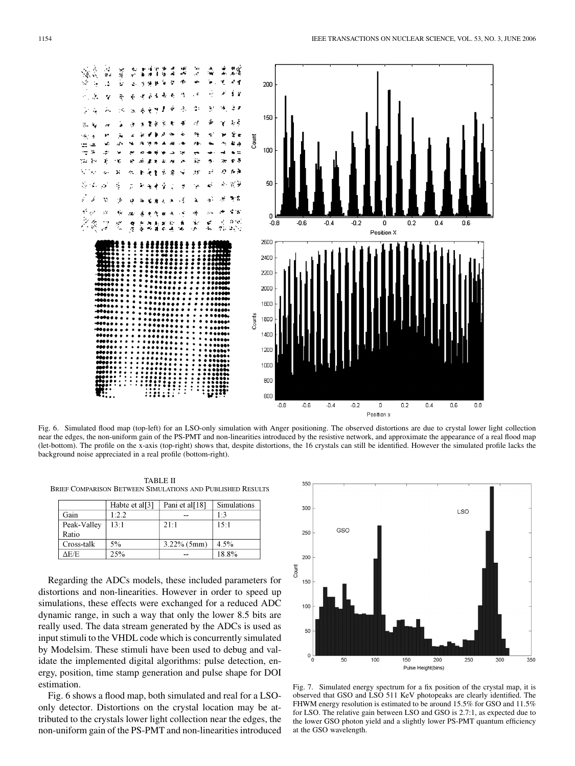<span id="page-4-0"></span>

Fig. 6. Simulated flood map (top-left) for an LSO-only simulation with Anger positioning. The observed distortions are due to crystal lower light collection near the edges, the non-uniform gain of the PS-PMT and non-linearities introduced by the resistive network, and approximate the appearance of a real flood map (let-bottom). The profile on the x-axis (top-right) shows that, despite distortions, the 16 crystals can still be identified. However the simulated profile lacks the background noise appreciated in a real profile (bottom-right).

TABLE II BRIEF COMPARISON BETWEEN SIMULATIONS AND PUBLISHED RESULTS

|             | Habte et al <sup>[3]</sup> | Pani et al[18] | Simulations |
|-------------|----------------------------|----------------|-------------|
| Gain        | 1:2.2                      |                | 1.3         |
| Peak-Valley | $13-1$                     | $21-1$         | 15:1        |
| Ratio       |                            |                |             |
| Cross-talk  | 5%                         | $3.22\%$ (5mm) | 4.5%        |
| AE/E        | $2.5\%$                    |                | 18.8%       |

Regarding the ADCs models, these included parameters for distortions and non-linearities. However in order to speed up simulations, these effects were exchanged for a reduced ADC dynamic range, in such a way that only the lower 8.5 bits are really used. The data stream generated by the ADCs is used as input stimuli to the VHDL code which is concurrently simulated by Modelsim. These stimuli have been used to debug and validate the implemented digital algorithms: pulse detection, energy, position, time stamp generation and pulse shape for DOI estimation.

Fig. 6 shows a flood map, both simulated and real for a LSOonly detector. Distortions on the crystal location may be attributed to the crystals lower light collection near the edges, the non-uniform gain of the PS-PMT and non-linearities introduced



Fig. 7. Simulated energy spectrum for a fix position of the crystal map, it is observed that GSO and LSO 511 KeV photopeaks are clearly identified. The FHWM energy resolution is estimated to be around 15.5% for GSO and 11.5% for LSO. The relative gain between LSO and GSO is 2.7:1, as expected due to the lower GSO photon yield and a slightly lower PS-PMT quantum efficiency at the GSO wavelength.